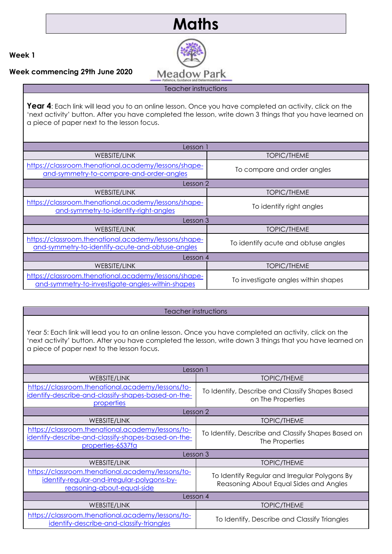# **Maths**



**Week 1**

**Week commencing 29th June 2020**

Year 4: Each link will lead you to an online lesson. Once you have completed an activity, click on the 'next activity' button. After you have completed the lesson, write down 3 things that you have learned on a piece of paper next to the lesson focus.

| Lesson 1                                                                                                 |                                     |
|----------------------------------------------------------------------------------------------------------|-------------------------------------|
| WEBSITE/LINK                                                                                             | <b>TOPIC/THEME</b>                  |
| https://classroom.thenational.academy/lessons/shape-<br>and-symmetry-to-compare-and-order-angles         | To compare and order angles         |
| Lesson 2                                                                                                 |                                     |
| WEBSITE/LINK                                                                                             | <b>TOPIC/THEME</b>                  |
| https://classroom.thenational.academy/lessons/shape-<br>and-symmetry-to-identify-right-angles            | To identify right angles            |
| Lesson 3                                                                                                 |                                     |
| WEBSITE/LINK                                                                                             | <b>TOPIC/THEME</b>                  |
| https://classroom.thenational.academy/lessons/shape-<br>and-symmetry-to-identify-acute-and-obtuse-angles | To identify acute and obtuse angles |
| Lesson 4                                                                                                 |                                     |
| WEBSITE/LINK                                                                                             | <b>TOPIC/THEME</b>                  |
| https://classroom.thenational.academy/lessons/shape-<br>and-symmetry-to-investigate-angles-within-shapes | To investigate angles within shapes |

# Teacher instructions

Year 5: Each link will lead you to an online lesson. Once you have completed an activity, click on the 'next activity' button. After you have completed the lesson, write down 3 things that you have learned on a piece of paper next to the lesson focus.

| Lesson 1                                                                                                                       |                                                                                         |
|--------------------------------------------------------------------------------------------------------------------------------|-----------------------------------------------------------------------------------------|
| WEBSITE/LINK                                                                                                                   | <b>TOPIC/THEME</b>                                                                      |
| https://classroom.thenational.academy/lessons/to-<br>identify-describe-and-classify-shapes-based-on-the-<br>properties         | To Identify, Describe and Classify Shapes Based<br>on The Properties                    |
| Lesson 2                                                                                                                       |                                                                                         |
| WEBSITE/LINK                                                                                                                   | <b>TOPIC/THEME</b>                                                                      |
| https://classroom.thenational.academy/lessons/to-<br>identify-describe-and-classify-shapes-based-on-the-<br>properties-6537fa  | To Identify, Describe and Classify Shapes Based on<br>The Properties                    |
| Lesson 3                                                                                                                       |                                                                                         |
| WEBSITE/LINK                                                                                                                   | <b>TOPIC/THEME</b>                                                                      |
| https://classroom.thenational.academy/lessons/to-<br>identify-regular-and-irregular-polygons-by-<br>reasoning-about-equal-side | To Identify Regular and Irregular Polygons By<br>Reasoning About Equal Sides and Angles |
| Lesson 4                                                                                                                       |                                                                                         |
| WEBSITE/LINK                                                                                                                   | <b>TOPIC/THEME</b>                                                                      |
| https://classroom.thenational.academy/lessons/to-<br>identify-describe-and-classify-triangles                                  | To Identify, Describe and Classify Triangles                                            |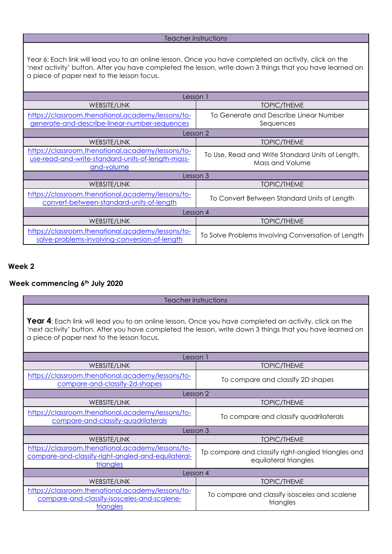#### Teacher instructions

Year 6: Each link will lead you to an online lesson. Once you have completed an activity, click on the 'next activity' button. After you have completed the lesson, write down 3 things that you have learned on a piece of paper next to the lesson focus.

| Lesson 1                                                                                                             |                                                                     |
|----------------------------------------------------------------------------------------------------------------------|---------------------------------------------------------------------|
| WEBSITE/LINK                                                                                                         | <b>TOPIC/THEME</b>                                                  |
| https://classroom.thenational.academy/lessons/to-<br>generate-and-describe-linear-number-sequences                   | To Generate and Describe Linear Number<br>Sequences                 |
| Lesson 2                                                                                                             |                                                                     |
| <b>WEBSITE/LINK</b>                                                                                                  | <b>TOPIC/THEME</b>                                                  |
| https://classroom.thenational.academy/lessons/to-<br>use-read-and-write-standard-units-of-length-mass-<br>and-volume | To Use, Read and Write Standard Units of Length,<br>Mass and Volume |
| Lesson 3                                                                                                             |                                                                     |
| <b>WEBSITE/LINK</b>                                                                                                  | <b>TOPIC/THEME</b>                                                  |
| https://classroom.thenational.academy/lessons/to-<br>convert-between-standard-units-of-length                        | To Convert Between Standard Units of Length                         |
| Lesson 4                                                                                                             |                                                                     |
| <b>WEBSITE/LINK</b>                                                                                                  | <b>TOPIC/THEME</b>                                                  |
| https://classroom.thenational.academy/lessons/to-<br>solve-problems-involving-conversion-of-length                   | To Solve Problems Involving Conversation of Length                  |

# **Week 2**

# **Week commencing 6th July 2020**

Teacher instructions

Year 4: Each link will lead you to an online lesson. Once you have completed an activity, click on the 'next activity' button. After you have completed the lesson, write down 3 things that you have learned on a piece of paper next to the lesson focus.

| Lesson 1                                                                                                             |                                                                             |
|----------------------------------------------------------------------------------------------------------------------|-----------------------------------------------------------------------------|
| <b>WEBSITE/LINK</b>                                                                                                  | <b>TOPIC/THEME</b>                                                          |
| https://classroom.thenational.academy/lessons/to-<br>compare-and-classify-2d-shapes                                  | To compare and classify 2D shapes                                           |
| Lesson 2                                                                                                             |                                                                             |
| WEBSITE/LINK                                                                                                         | <b>TOPIC/THEME</b>                                                          |
| https://classroom.thenational.academy/lessons/to-<br>compare-and-classify-quadrilaterals                             | To compare and classify quadrilaterals                                      |
| Lesson 3                                                                                                             |                                                                             |
| WEBSITE/LINK                                                                                                         | <b>TOPIC/THEME</b>                                                          |
| https://classroom.thenational.academy/lessons/to-<br>compare-and-classify-right-angled-and-equilateral-<br>triangles | Tp compare and classify right-angled triangles and<br>equilateral triangles |
| Lesson 4                                                                                                             |                                                                             |
| WEBSITE/LINK                                                                                                         | <b>TOPIC/THEME</b>                                                          |
| https://classroom.thenational.academy/lessons/to-<br>compare-and-classify-isosceles-and-scalene-<br>triangles        | To compare and classify isosceles and scalene<br>triangles                  |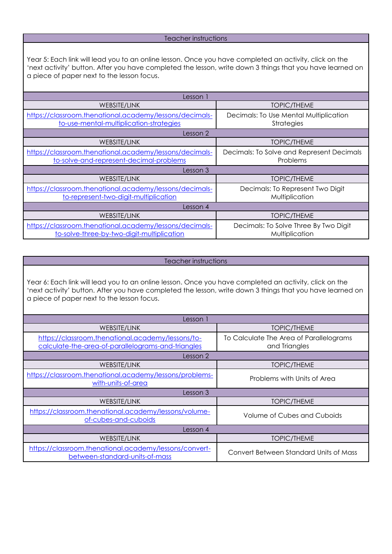#### Teacher instructions

Year 5: Each link will lead you to an online lesson. Once you have completed an activity, click on the 'next activity' button. After you have completed the lesson, write down 3 things that you have learned on a piece of paper next to the lesson focus.

| Lesson 1                                                                                              |                                                         |  |
|-------------------------------------------------------------------------------------------------------|---------------------------------------------------------|--|
| WEBSITE/LINK                                                                                          | <b>TOPIC/THEME</b>                                      |  |
| https://classroom.thenational.academy/lessons/decimals-<br>to-use-mental-multiplication-strategies    | Decimals: To Use Mental Multiplication<br>Strategies    |  |
| Lesson 2                                                                                              |                                                         |  |
| <b>WEBSITE/LINK</b>                                                                                   | <b>TOPIC/THEME</b>                                      |  |
| https://classroom.thenational.academy/lessons/decimals-<br>to-solve-and-represent-decimal-problems    | Decimals: To Solve and Represent Decimals<br>Problems   |  |
| Lesson 3                                                                                              |                                                         |  |
| WEBSITE/LINK                                                                                          | <b>TOPIC/THEME</b>                                      |  |
| https://classroom.thenational.academy/lessons/decimals-<br>to-represent-two-digit-multiplication      | Decimals: To Represent Two Digit<br>Multiplication      |  |
| Lesson 4                                                                                              |                                                         |  |
| WEBSITE/LINK                                                                                          | <b>TOPIC/THEME</b>                                      |  |
| https://classroom.thenational.academy/lessons/decimals-<br>to-solve-three-by-two-digit-multiplication | Decimals: To Solve Three By Two Digit<br>Multiplication |  |

#### Teacher instructions

Year 6: Each link will lead you to an online lesson. Once you have completed an activity, click on the 'next activity' button. After you have completed the lesson, write down 3 things that you have learned on a piece of paper next to the lesson focus.

| Lesson 1                                                                                                |                                                          |  |
|---------------------------------------------------------------------------------------------------------|----------------------------------------------------------|--|
| WEBSITE/LINK                                                                                            | <b>TOPIC/THEME</b>                                       |  |
| https://classroom.thenational.academy/lessons/to-<br>calculate-the-area-of-parallelograms-and-triangles | To Calculate The Area of Parallelograms<br>and Triangles |  |
| Lesson 2                                                                                                |                                                          |  |
| WEBSITE/LINK                                                                                            | <b>TOPIC/THEME</b>                                       |  |
| https://classroom.thenational.academy/lessons/problems-<br>with-units-of-area                           | Problems with Units of Area                              |  |
| Lesson 3                                                                                                |                                                          |  |
| WEBSITE/LINK                                                                                            | <b>TOPIC/THEME</b>                                       |  |
| https://classroom.thenational.academy/lessons/volume-<br>of-cubes-and-cuboids                           | Volume of Cubes and Cuboids                              |  |
| Lesson 4                                                                                                |                                                          |  |
| WEBSITE/LINK                                                                                            | <b>TOPIC/THEME</b>                                       |  |
| https://classroom.thenational.academy/lessons/convert-<br>between-standard-units-of-mass                | Convert Between Standard Units of Mass                   |  |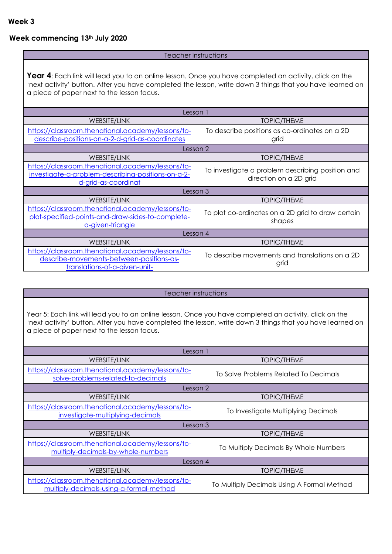# **Week commencing 13th July 2020**

#### Teacher instructions

Year 4: Each link will lead you to an online lesson. Once you have completed an activity, click on the 'next activity' button. After you have completed the lesson, write down 3 things that you have learned on a piece of paper next to the lesson focus.

| Lesson 1                                                                                                                       |                                                             |
|--------------------------------------------------------------------------------------------------------------------------------|-------------------------------------------------------------|
| WEBSITE/LINK                                                                                                                   | <b>TOPIC/THEME</b>                                          |
| https://classroom.thenational.academy/lessons/to-                                                                              | To describe positions as co-ordinates on a 2D               |
| describe-positions-on-a-2-d-grid-as-coordinates                                                                                | grid                                                        |
| Lesson 2                                                                                                                       |                                                             |
| <b>WEBSITE/LINK</b>                                                                                                            | <b>TOPIC/THEME</b>                                          |
| https://classroom.thenational.academy/lessons/to-                                                                              | To investigate a problem describing position and            |
| investigate-a-problem-describing-positions-on-a-2-                                                                             | direction on a 2D grid                                      |
| d-grid-as-coordinat                                                                                                            |                                                             |
| Lesson 3                                                                                                                       |                                                             |
| <b>WEBSITE/LINK</b>                                                                                                            | <b>TOPIC/THEME</b>                                          |
| https://classroom.thenational.academy/lessons/to-<br>plot-specified-points-and-draw-sides-to-complete-<br>a-given-triangle     | To plot co-ordinates on a 2D grid to draw certain<br>shapes |
| Lesson 4                                                                                                                       |                                                             |
| WEBSITE/LINK                                                                                                                   | <b>TOPIC/THEME</b>                                          |
| https://classroom.thenational.academy/lessons/to-<br>describe-movements-between-positions-as-<br>translations-of-a-given-unit- | To describe movements and translations on a 2D<br>grid      |

#### Teacher instructions

Year 5: Each link will lead you to an online lesson. Once you have completed an activity, click on the 'next activity' button. After you have completed the lesson, write down 3 things that you have learned on a piece of paper next to the lesson focus.

| Lesson 1                                                                                     |                                            |
|----------------------------------------------------------------------------------------------|--------------------------------------------|
| WEBSITE/LINK                                                                                 | <b>TOPIC/THEME</b>                         |
| https://classroom.thenational.academy/lessons/to-<br>solve-problems-related-to-decimals      | To Solve Problems Related To Decimals      |
| Lesson 2                                                                                     |                                            |
| WEBSITE/LINK                                                                                 | <b>TOPIC/THEME</b>                         |
| https://classroom.thenational.academy/lessons/to-<br>investigate-multiplying-decimals        | To Investigate Multiplying Decimals        |
| Lesson 3                                                                                     |                                            |
| <b>WEBSITE/LINK</b>                                                                          | <b>TOPIC/THEME</b>                         |
| https://classroom.thenational.academy/lessons/to-<br>multiply-decimals-by-whole-numbers      | To Multiply Decimals By Whole Numbers      |
| Lesson 4                                                                                     |                                            |
| WEBSITE/LINK                                                                                 | <b>TOPIC/THEME</b>                         |
| https://classroom.thenational.academy/lessons/to-<br>multiply-decimals-using-a-formal-method | To Multiply Decimals Using A Formal Method |